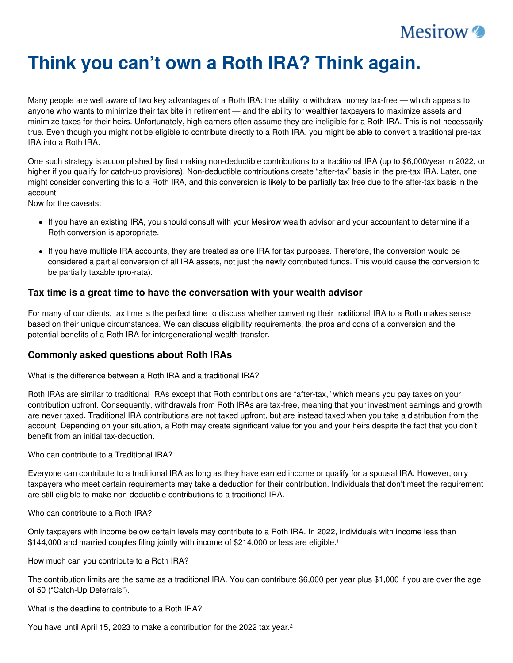

# **Think you can't own a Roth IRA? Think again.**

Many people are well aware of two key advantages of a Roth IRA: the ability to withdraw money tax-free — which appeals to anyone who wants to minimize their tax bite in retirement — and the ability for wealthier taxpayers to maximize assets and minimize taxes for their heirs. Unfortunately, high earners often assume they are ineligible for a Roth IRA. This is not necessarily true. Even though you might not be eligible to contribute directly to a Roth IRA, you might be able to convert a traditional pre-tax IRA into a Roth IRA.

One such strategy is accomplished by first making non-deductible contributions to a traditional IRA (up to \$6,000/year in 2022, or higher if you qualify for catch-up provisions). Non-deductible contributions create "after-tax" basis in the pre-tax IRA. Later, one might consider converting this to a Roth IRA, and this conversion is likely to be partially tax free due to the after-tax basis in the account.

Now for the caveats:

- If you have an existing IRA, you should consult with your Mesirow wealth advisor and your accountant to determine if a Roth conversion is appropriate.
- If you have multiple IRA accounts, they are treated as one IRA for tax purposes. Therefore, the conversion would be considered a partial conversion of all IRA assets, not just the newly contributed funds. This would cause the conversion to be partially taxable (pro-rata).

## **Tax time is a great time to have the conversation with your wealth advisor**

For many of our clients, tax time is the perfect time to discuss whether converting their traditional IRA to a Roth makes sense based on their unique circumstances. We can discuss eligibility requirements, the pros and cons of a conversion and the potential benefits of a Roth IRA for intergenerational wealth transfer.

## **Commonly asked questions about Roth IRAs**

What is the difference between a Roth IRA and a traditional IRA?

Roth IRAs are similar to traditional IRAs except that Roth contributions are "after-tax," which means you pay taxes on your contribution upfront. Consequently, withdrawals from Roth IRAs are tax-free, meaning that your investment earnings and growth are never taxed. Traditional IRA contributions are not taxed upfront, but are instead taxed when you take a distribution from the account. Depending on your situation, a Roth may create significant value for you and your heirs despite the fact that you don't benefit from an initial tax-deduction.

Who can contribute to a Traditional IRA?

Everyone can contribute to a traditional IRA as long as they have earned income or qualify for a spousal IRA. However, only taxpayers who meet certain requirements may take a deduction for their contribution. Individuals that don't meet the requirement are still eligible to make non-deductible contributions to a traditional IRA.

Who can contribute to a Roth IRA?

Only taxpayers with income below certain levels may contribute to a Roth IRA. In 2022, individuals with income less than \$144,000 and married couples filing jointly with income of \$214,000 or less are eligible.<sup>1</sup>

How much can you contribute to a Roth IRA?

The contribution limits are the same as a traditional IRA. You can contribute \$6,000 per year plus \$1,000 if you are over the age of 50 ("Catch-Up Deferrals").

What is the deadline to contribute to a Roth IRA?

You have until April 15, 2023 to make a contribution for the 2022 tax year.²